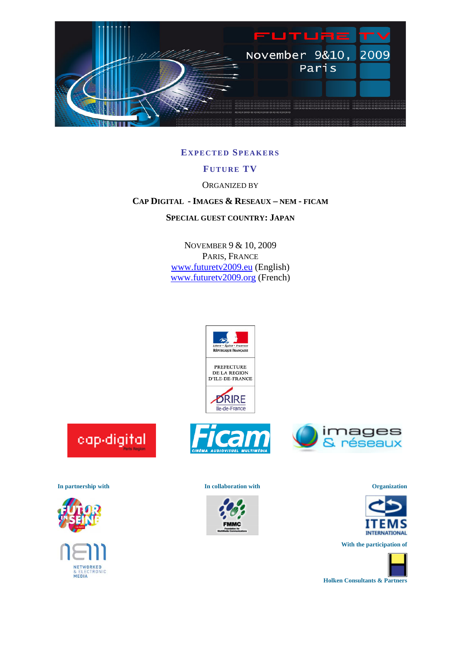

# **EXPECTED SPEAKERS**

# **FUTURE TV**

ORGANIZED BY

# **CAP DIGITAL - IMAGES & RESEAUX – NEM - FICAM**

**SPECIAL GUEST COUNTRY: JAPAN**

NOVEMBER 9 & 10, 2009 PARIS, FRANCE www.futuretv2009.eu (English) www.futuretv2009.org (French)









NETWORKED & ELECTRONIC<br>MEDIA

**In partnership with In collaboration with Organization**





**With the participation of**

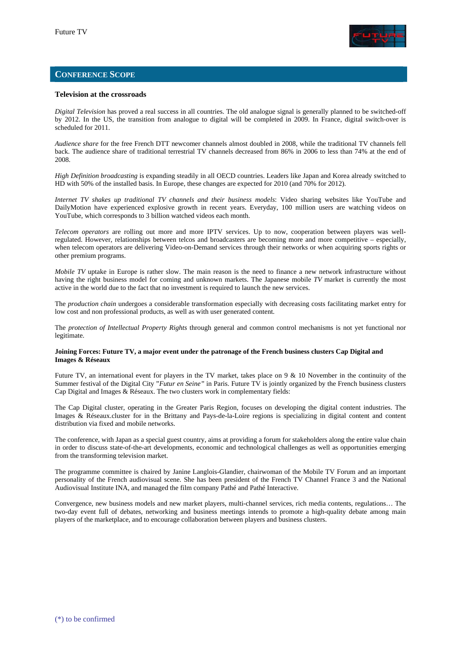

# **CONFERENCE SCOPE**

### **Television at the crossroads**

*Digital Television* has proved a real success in all countries. The old analogue signal is generally planned to be switched-off by 2012. In the US, the transition from analogue to digital will be completed in 2009. In France, digital switch-over is scheduled for 2011.

*Audience share* for the free French DTT newcomer channels almost doubled in 2008, while the traditional TV channels fell back. The audience share of traditional terrestrial TV channels decreased from 86% in 2006 to less than 74% at the end of 2008.

*High Definition broadcasting* is expanding steadily in all OECD countries. Leaders like Japan and Korea already switched to HD with 50% of the installed basis. In Europe, these changes are expected for 2010 (and 70% for 2012).

*Internet TV shakes up traditional TV channels and their business models*: Video sharing websites like YouTube and DailyMotion have experienced explosive growth in recent years. Everyday, 100 million users are watching videos on YouTube, which corresponds to 3 billion watched videos each month.

*Telecom operators* are rolling out more and more IPTV services. Up to now, cooperation between players was wellregulated. However, relationships between telcos and broadcasters are becoming more and more competitive – especially, when telecom operators are delivering Video-on-Demand services through their networks or when acquiring sports rights or other premium programs.

*Mobile TV* uptake in Europe is rather slow. The main reason is the need to finance a new network infrastructure without having the right business model for coming and unknown markets. The Japanese mobile *TV* market is currently the most active in the world due to the fact that no investment is required to launch the new services.

The *production chain* undergoes a considerable transformation especially with decreasing costs facilitating market entry for low cost and non professional products, as well as with user generated content.

The *protection of Intellectual Property Rights* through general and common control mechanisms is not yet functional nor legitimate.

### **Joining Forces: Future TV, a major event under the patronage of the French business clusters Cap Digital and Images & Réseaux**

Future TV, an international event for players in the TV market, takes place on 9 & 10 November in the continuity of the Summer festival of the Digital City "*Futur en Seine"* in Paris. Future TV is jointly organized by the French business clusters Cap Digital and Images & Réseaux. The two clusters work in complementary fields:

The Cap Digital cluster, operating in the Greater Paris Region, focuses on developing the digital content industries. The Images & Réseaux.cluster for in the Brittany and Pays-de-la-Loire regions is specializing in digital content and content distribution via fixed and mobile networks.

The conference, with Japan as a special guest country, aims at providing a forum for stakeholders along the entire value chain in order to discuss state-of-the-art developments, economic and technological challenges as well as opportunities emerging from the transforming television market.

The programme committee is chaired by Janine Langlois-Glandier, chairwoman of the Mobile TV Forum and an important personality of the French audiovisual scene. She has been president of the French TV Channel France 3 and the National Audiovisual Institute INA, and managed the film company Pathé and Pathé Interactive.

Convergence, new business models and new market players, multi-channel services, rich media contents, regulations… The two-day event full of debates, networking and business meetings intends to promote a high-quality debate among main players of the marketplace, and to encourage collaboration between players and business clusters.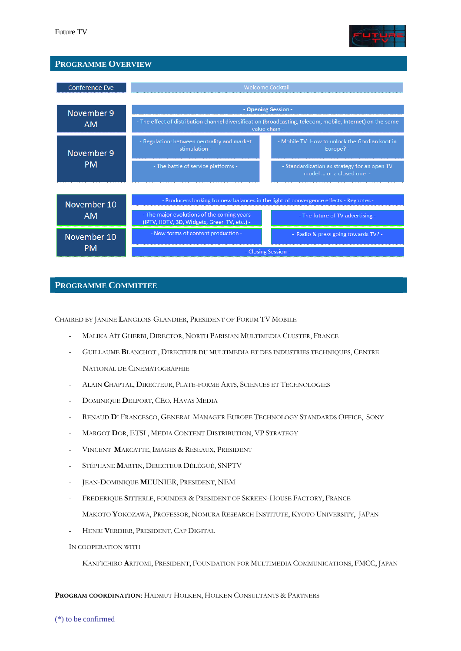

# **PROGRAMME OVERVIEW**

| Conference Eve           | <b>Welcome Cocktail</b>                                                                                                                            |                                                                          |
|--------------------------|----------------------------------------------------------------------------------------------------------------------------------------------------|--------------------------------------------------------------------------|
| November 9<br><b>AM</b>  | - Opening Session -<br>- The effect of distribution channel diversification (broadcasting, telecom, mobile, Internet) on the same<br>value chain - |                                                                          |
| November 9<br>PM.        | - Regulation: between neutrality and market<br>stimulation -                                                                                       | - Mobile TV: How to unlock the Gordian knot in<br>Europe? -              |
|                          | - The battle of service platforms -                                                                                                                | - Standardization as strategy for an open TV<br>model  or a closed one - |
|                          |                                                                                                                                                    |                                                                          |
| November 10<br>AM.       | - Producers looking for new balances in the light of convergence effects - Keynotes -                                                              |                                                                          |
|                          | - The major evolutions of the coming years<br>(IPTV, HDTV, 3D, Widgets, Green TV, etc.) -                                                          | - The future of TV advertising -                                         |
| November 10<br><b>PM</b> | - New forms of content production -                                                                                                                | - Radio & press going towards TV? -                                      |
|                          | - Closing Session -                                                                                                                                |                                                                          |

# **PROGRAMME COMMITTEE**

CHAIRED BY JANINE **L**ANGLOIS-GLANDIER, PRESIDENT OF FORUM TV MOBILE

- MALIKA AÎT GHERBI, DIRECTOR, NORTH PARISIAN MULTIMEDIA CLUSTER, FRANCE
- GUILLAUME **B**LANCHOT , DIRECTEUR DU MULTIMEDIA ET DES INDUSTRIES TECHNIQUES, CENTRE NATIONAL DE CINEMATOGRAPHIE
- ALAIN **C**HAPTAL, DIRECTEUR, PLATE-FORME ARTS, SCIENCES ET TECHNOLOGIES
- DOMINIQUE **D**ELPORT, CEO, HAVAS MEDIA
- RENAUD **D**I FRANCESCO, GENERAL MANAGER EUROPE TECHNOLOGY STANDARDS OFFICE, SONY
- MARGOT **D**OR, ETSI , MEDIA CONTENT DISTRIBUTION, VP STRATEGY
- VINCENT **M**ARCATTE, IMAGES & RESEAUX, PRESIDENT
- STÉPHANE **M**ARTIN, DIRECTEUR DÉLÉGUÉ, SNPTV
- JEAN-DOMINIQUE **M**EUNIER, PRESIDENT, NEM
- FREDERIQUE **S**ITTERLE, FOUNDER & PRESIDENT OF SKREEN-HOUSE FACTORY, FRANCE
- MAKOTO **Y**OKOZAWA, PROFESSOR, NOMURA RESEARCH INSTITUTE, KYOTO UNIVERSITY, JAPAN
- HENRI **V**ERDIER, PRESIDENT, CAP DIGITAL

IN COOPERATION WITH

- KANI'ICHIRO **A**RITOMI, PRESIDENT, FOUNDATION FOR MULTIMEDIA COMMUNICATIONS, FMCC, JAPAN

# **PROGRAM COORDINATION**: HADMUT HOLKEN, HOLKEN CONSULTANTS & PARTNERS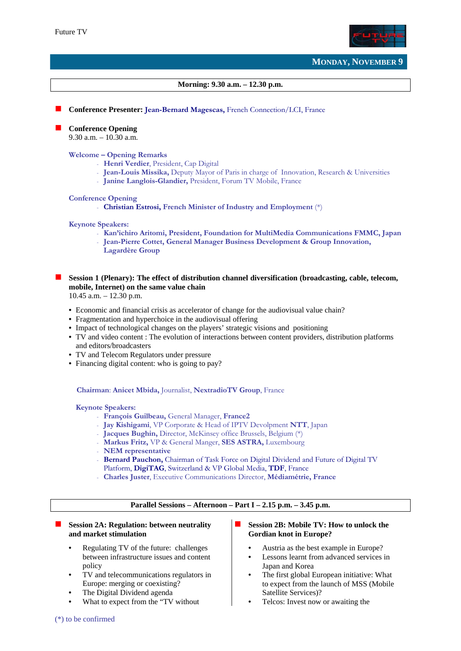

## **Morning: 9.30 a.m. – 12.30 p.m.**

**Conference Presenter: Jean-Bernard Magescas,** French Connection/LCI, France

### **Conference Opening**

9.30 a.m. – 10.30 a.m.

### **Welcome – Opening Remarks**

- **Henri Verdier**, President, Cap Digital
- **Jean-Louis Missika,** Deputy Mayor of Paris in charge of Innovation, Research & Universities
- **Janine Langlois-Glandier,** President, Forum TV Mobile, France

#### **Conference Opening**

- **Christian Estrosi, French Minister of Industry and Employment** (\*)

### **Keynote Speakers:**

- **Kan'ichiro Aritomi, President, Foundation for MultiMedia Communications FMMC, Japan**
- **Jean-Pierre Cottet, General Manager Business Development & Group Innovation, Lagardère Group**
- **Session 1 (Plenary): The effect of distribution channel diversification (broadcasting, cable, telecom, mobile, Internet) on the same value chain**

10.45 a.m. – 12.30 p.m.

- Economic and financial crisis as accelerator of change for the audiovisual value chain?
- Fragmentation and hyperchoice in the audiovisual offering
- Impact of technological changes on the players' strategic visions and positioning
- TV and video content : The evolution of interactions between content providers, distribution platforms and editors/broadcasters
- TV and Telecom Regulators under pressure
- Financing digital content: who is going to pay?

**Chairman**: **Anicet Mbida,** Journalist, **NextradioTV Group**, France

#### **Keynote Speakers:**

- **François Guilbeau,** General Manager, **France2**
- **Jay Kishigami**, VP Corporate & Head of IPTV Devolpment **NTT**, Japan
- Jacques Bughin, Director, McKinsey office Brussels, Belgium (\*)
- **Markus Fritz,** VP & General Manger, **SES ASTRA,** Luxembourg
- **NEM representative**
- **Bernard Pauchon,** Chairman of Task Force on Digital Dividend and Future of Digital TV Platform, **DigiTAG**, Switzerland & VP Global Media, **TDF**, France
- **Charles Juster**, Executive Communications Director, **Médiamétrie, France**

### **Parallel Sessions – Afternoon – Part I – 2.15 p.m. – 3.45 p.m.**

### ■ Session 2A: Regulation: between neutrality **and market stimulation**

- Regulating TV of the future: challenges between infrastructure issues and content policy
- TV and telecommunications regulators in Europe: merging or coexisting?
- The Digital Dividend agenda
- What to expect from the "TV without

### **Session 2B: Mobile TV: How to unlock the Gordian knot in Europe?**

- Austria as the best example in Europe?
- Lessons learnt from advanced services in Japan and Korea
- The first global European initiative: What to expect from the launch of MSS (Mobile Satellite Services)?
- Telcos: Invest now or awaiting the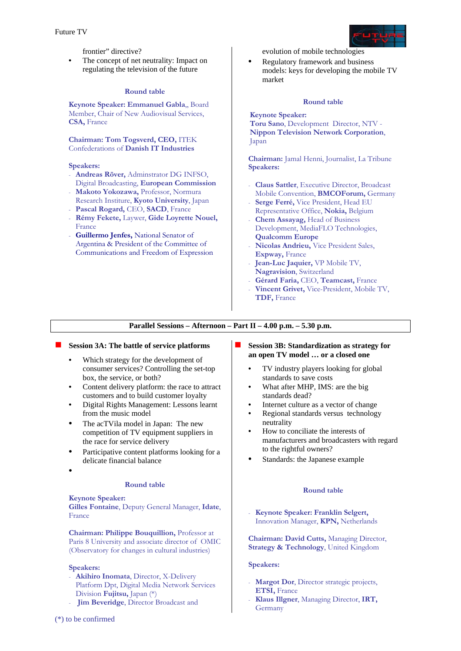frontier" directive?

The concept of net neutrality: Impact on regulating the television of the future

## **Round table**

**Keynote Speaker: Emmanuel Gabla**,, Board Member, Chair of New Audiovisual Services, **CSA,** France

**Chairman: Tom Togsverd, CEO,** ITEK Confederations of **Danish IT Industries**

### **Speakers:**

- **Andreas Röver,** Adminstrator DG INFSO, Digital Broadcasting, **European Commission**
- **Makoto Yokozawa,** Professor, Normura Research Institure, **Kyoto University**, Japan
- **Pascal Rogard,** CEO, **SACD**, France
- **Rémy Fekete,** Laywer, **Gide Loyrette Nouel,**  France
- **Guillermo Jenfes,** National Senator of Argentina & President of the Committee of Communications and Freedom of Expression

evolution of mobile technologies

• Regulatory framework and business models: keys for developing the mobile TV market

### **Round table**

 **Keynote Speaker: Toru Sano**, Development Director, NTV - **Nippon Television Network Corporation**, Japan

**Chairman:** Jamal Henni, Journalist, La Tribune **Speakers:** 

- **Claus Sattler**, Executive Director, Broadcast Mobile Convention, **BMCOForum,** Germany
- **Serge Ferré,** Vice President, Head EU Representative Office, **Nokia,** Belgium
- **Chem Assayag,** Head of Business Development, MediaFLO Technologies, **Qualcomm Europe**
- **Nicolas Andrieu,** Vice President Sales, **Expway,** France
- Jean-Luc Jaquier, **VP Mobile TV**, **Nagravision**, Switzerland
- **Gérard Faria,** CEO, **Teamcast,** France
- Vincent Grivet, Vice-President, Mobile TV, **TDF,** France

**Parallel Sessions – Afternoon – Part II – 4.00 p.m. – 5.30 p.m.** 

# **Session 3A: The battle of service platforms**

- Which strategy for the development of consumer services? Controlling the set-top box, the service, or both?
- Content delivery platform: the race to attract customers and to build customer loyalty
- Digital Rights Management: Lessons learnt from the music model
- The acTVila model in Japan: The new competition of TV equipment suppliers in the race for service delivery
- Participative content platforms looking for a delicate financial balance
- •

# **Round table**

**Keynote Speaker: Gilles Fontaine**, Deputy General Manager, **Idate**, France

**Chairman: Philippe Bouquillion,** Professor at Paris 8 University and associate director of OMIC (Observatory for changes in cultural industries)

### **Speakers:**

- **Akihiro Inomata**, Director, X-Delivery Platform Dpt, Digital Media Network Services Division **Fujitsu,** Japan (\*)
- - **Jim Beveridge**, Director Broadcast and

## **Session 3B: Standardization as strategy for an open TV model … or a closed one**

- TV industry players looking for global standards to save costs
- What after MHP, IMS: are the big standards dead?
- Internet culture as a vector of change
- Regional standards versus technology neutrality
- How to conciliate the interests of manufacturers and broadcasters with regard to the rightful owners?
- Standards: the Japanese example

### **Round table**

- **Keynote Speaker: Franklin Selgert,**  Innovation Manager, **KPN,** Netherlands

**Chairman: David Cutts,** Managing Director, **Strategy & Technology**, United Kingdom

### **Speakers:**

- Margot Dor, Director strategic projects, **ETSI,** France
- **Klaus Illgner**, Managing Director, **IRT,**  Germany

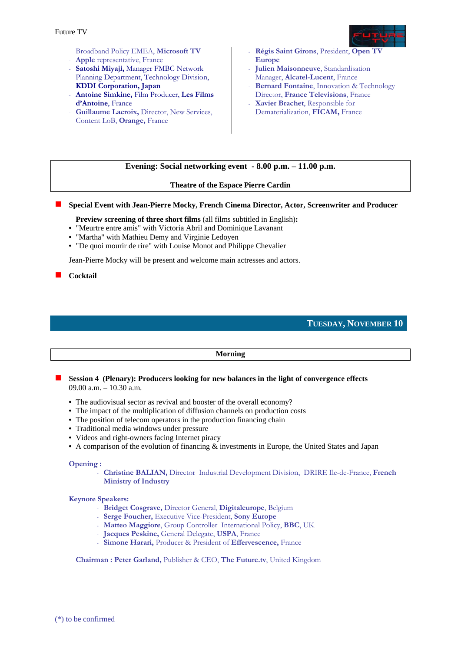

- Broadband Policy EMEA, **Microsoft TV**
- **Apple** representative, France
- **Satoshi Miyaji,** Manager FMBC Network Planning Department, Technology Division, **KDDI Corporation, Japan**
- **Antoine Simkine,** Film Producer, **Les Films d'Antoine**, France
- Guillaume Lacroix, Director, New Services, Content LoB, **Orange,** France
- Régis Saint Girons, President, Open T **Europe**
- Julien Maisonneuve, Standardisation Manager, **Alcatel-Lucent**, France
- Bernard Fontaine, Innovation & Technology Director, **France Televisions**, France
- **Xavier Brachet**, Responsible for Dematerialization, **FICAM,** France

# **Evening: Social networking event - 8.00 p.m. – 11.00 p.m.**

# **Theatre of the Espace Pierre Cardin**

**Special Event with Jean-Pierre Mocky, French Cinema Director, Actor, Screenwriter and Producer** 

**Preview screening of three short films** (all films subtitled in English)**:**

- "Meurtre entre amis" with Victoria Abril and Dominique Lavanant
- "Martha" with Mathieu Demy and Virginie Ledoyen
- "De quoi mourir de rire" with Louise Monot and Philippe Chevalier

Jean-Pierre Mocky will be present and welcome main actresses and actors.

**Cocktail** 

# **TUESDAY, NOVEMBER 10**

### **Morning**

- **Session 4 (Plenary): Producers looking for new balances in the light of convergence effects**  09.00 a.m. – 10.30 a.m.
	- The audiovisual sector as revival and booster of the overall economy?
	- The impact of the multiplication of diffusion channels on production costs
	- The position of telecom operators in the production financing chain
	- Traditional media windows under pressure
	- Videos and right-owners facing Internet piracy
	- A comparison of the evolution of financing & investments in Europe, the United States and Japan

### **Opening :**

- **Christine BALIAN,** Director Industrial Development Division, DRIRE Ile-de-France, **French Ministry of Industry**

# **Keynote Speakers:**

- **Bridget Cosgrave,** Director General, **Digitaleurope**, Belgium
- **Serge Foucher,** Executive Vice-President, **Sony Europe**
- **Matteo Maggiore**, Group Controller International Policy, **BBC**, UK
- **Jacques Peskine,** General Delegate, **USPA**, France
- **Simone Harari,** Producer & President of **Effervescence,** France

 **Chairman : Peter Garland,** Publisher & CEO, **The Future.tv**, United Kingdom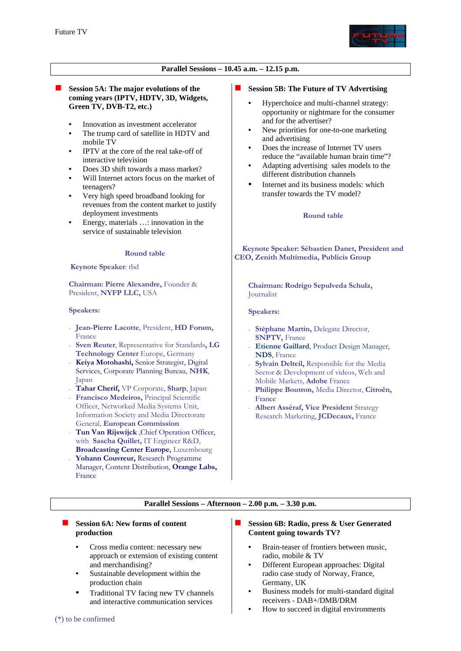

# **Parallel Sessions – 10.45 a.m. – 12.15 p.m.**

# **Session 5A: The major evolutions of the coming years (IPTV, HDTV, 3D, Widgets, Green TV, DVB-T2, etc.)**

- Innovation as investment accelerator
- The trump card of satellite in HDTV and mobile TV
- IPTV at the core of the real take-off of interactive television
- Does 3D shift towards a mass market?
- Will Internet actors focus on the market of teenagers?
- Very high speed broadband looking for revenues from the content market to justify deployment investments
- Energy, materials ...: innovation in the service of sustainable television

### **Round table**

# **Keynote Speaker**: tbd

**Chairman: Pierre Alexandre,** Founder & President, **NYFP LLC,** USA

### **Speakers:**

- **Jean-Pierre Lacotte**, President, **HD Forum,**  France
- **Sven Reuter**, Representative for Standards**, LG Technology Center** Europe, Germany
- **Keiya Motohashi,** Senior Strategist, Digital Services, Corporate Planning Bureau, **NHK**, Japan
- **Tahar Cherif,** VP Corporate, **Sharp**, Japan
- Francisco Medeiros, Principal Scientific Officer, Networked Media Systems Unit, Information Society and Media Directorate General, **European Commission**
- **Tun Van Rijswijck** ,Chief Operation Officer, with **Sascha Quillet,** IT Engineer R&D, **Broadcasting Center Europe,** Luxembourg
- Yohann Couvreur, Research Programme Manager, Content Distribution, **Orange Labs,**  France

# **Session 5B: The Future of TV Advertising**

- Hyperchoice and multi-channel strategy: opportunity or nightmare for the consumer and for the advertiser?
- New priorities for one-to-one marketing and advertising
- Does the increase of Internet TV users reduce the "available human brain time"?
- Adapting advertising sales models to the different distribution channels
- Internet and its business models: which transfer towards the TV model?

### **Round table**

 **Keynote Speaker: Sébastien Danet, President and CEO, Zenith Multimedia, Publicis Group** 

**Chairman: Rodrigo Sepulveda Schulz,**  Journalist

**Speakers:** 

- Stéphane Martin, Delegate Director, **SNPTV,** France
- **Etienne Gaillard**, Product Design Manager, **NDS**, France
- **Sylvain Delteil,** Responsible for the Media Sector & Development of videos, Web and Mobile Markets, **Adobe** France
- **Philippe Boutron,** Media Director, **Citroën,**  France
- **Albert Asséraf, Vice President** Strategy Research Marketing, **JCDecaux,** France

# **Parallel Sessions – Afternoon – 2.00 p.m. – 3.30 p.m.**

# **Session 6A: New forms of content production**

- Cross media content: necessary new approach or extension of existing content and merchandising?
- Sustainable development within the production chain
- Traditional TV facing new TV channels and interactive communication services
- **Session 6B: Radio, press & User Generated Content going towards TV?** 
	- Brain-teaser of frontiers between music, radio, mobile & TV
	- Different European approaches: Digital radio case study of Norway, France, Germany, UK
	- Business models for multi-standard digital receivers - DAB+/DMB/DRM
	- How to succeed in digital environments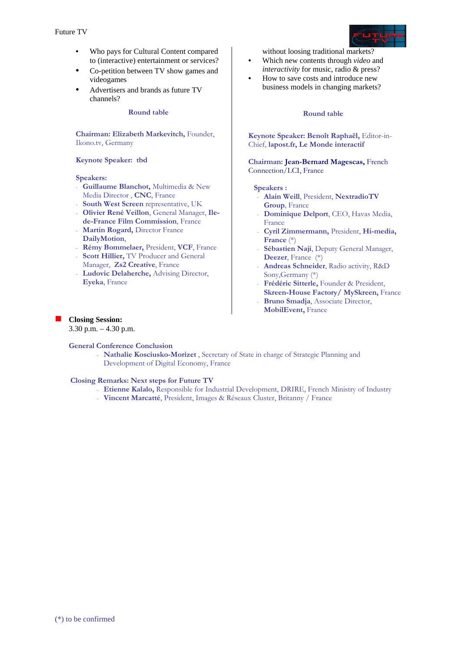

- Who pays for Cultural Content compared to (interactive) entertainment or services?
- Co-petition between TV show games and videogames
- Advertisers and brands as future TV channels?

**Round table** 

**Chairman: Elizabeth Markevitch,** Founder, Ikono.tv, Germany

# **Keynote Speaker: tbd**

# **Speakers:**

- **Guillaume Blanchot,** Multimedia & New Media Director , **CNC**, France
- **South West Screen** representative, UK
- **Olivier René Veillon**, General Manager, **Ilede-France Film Commission**, France
- **Martin Rogard, Director France DailyMotion**,
- **Rémy Bommelaer,** President, **VCF**, France
- Scott Hillier, TV Producer and General Manager, **Zs2 Creative**, France
- Ludovic Delaherche, Advising Director, **Eyeka**, France

# without loosing traditional markets?

- Which new contents through *video* and *interactivity* for music, radio & press?
- How to save costs and introduce new business models in changing markets?

# **Round table**

**Keynote Speaker: Benoît Raphaël,** Editor-in-Chief, **lapost.fr, Le Monde interactif**

**Chairman: Jean-Bernard Magescas,** French Connection/LCI, France

# **Speakers :**

- **Alain Weill**, President, **NextradioTV Group**, France
- **Dominique Delport**, CEO, Havas Media, France
- **Cyril Zimmermann,** President, **Hi-media, France** (\*)
- Sébastien Naji, Deputy General Manager, **Deezer**, France (\*)
- **Andreas Schneider**, Radio activity, R&D Sony,Germany (\*)
- **Frédéric Sitterle,** Founder & President, **Skreen-House Factory/ MySkreen,** France
- Bruno Smadja, Associate Director, **MobilEvent,** France

# **Closing Session:**

3.30 p.m. – 4.30 p.m.

# **General Conference Conclusion**

- **Nathalie Kosciusko-Morizet** , Secretary of State in charge of Strategic Planning and Development of Digital Economy, France

# **Closing Remarks: Next steps for Future TV**

- **Etienne Kalalo,** Responsible for Industrial Development, DRIRE, French Ministry of Industry
- **Vincent Marcatté**, President, Images & Réseaux Cluster, Britanny / France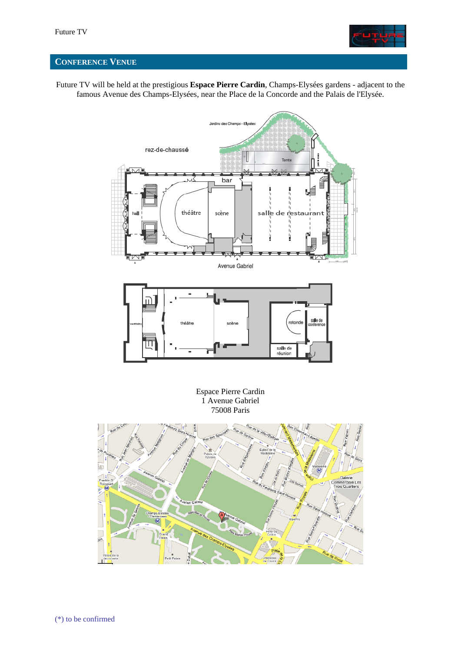

# **CONFERENCE VENUE**

Future TV will be held at the prestigious **Espace Pierre Cardin**, Champs-Elysées gardens - adjacent to the famous Avenue des Champs-Elysées, near the Place de la Concorde and the Palais de l'Elysée.